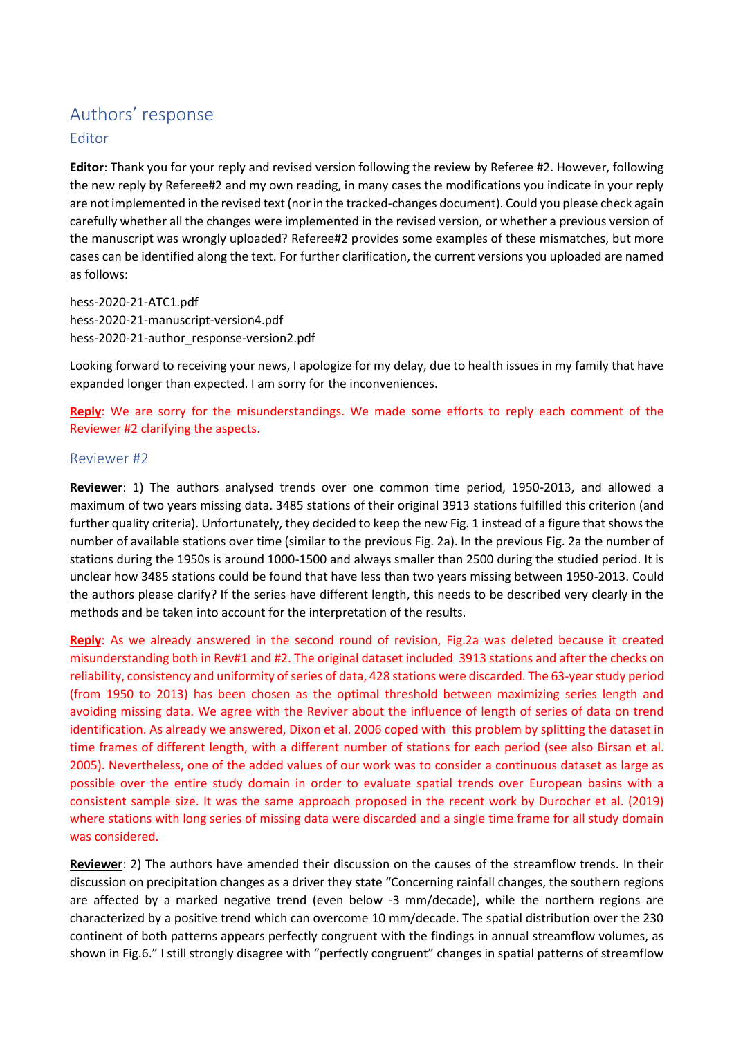## Authors' response Editor

**Editor**: Thank you for your reply and revised version following the review by Referee #2. However, following the new reply by Referee#2 and my own reading, in many cases the modifications you indicate in your reply are not implemented in the revised text (nor in the tracked-changes document). Could you please check again carefully whether all the changes were implemented in the revised version, or whether a previous version of the manuscript was wrongly uploaded? Referee#2 provides some examples of these mismatches, but more cases can be identified along the text. For further clarification, the current versions you uploaded are named as follows:

hess-2020-21-ATC1.pdf hess-2020-21-manuscript-version4.pdf hess-2020-21-author\_response-version2.pdf

Looking forward to receiving your news, I apologize for my delay, due to health issues in my family that have expanded longer than expected. I am sorry for the inconveniences.

**Reply**: We are sorry for the misunderstandings. We made some efforts to reply each comment of the Reviewer #2 clarifying the aspects.

## Reviewer #2

**Reviewer**: 1) The authors analysed trends over one common time period, 1950-2013, and allowed a maximum of two years missing data. 3485 stations of their original 3913 stations fulfilled this criterion (and further quality criteria). Unfortunately, they decided to keep the new Fig. 1 instead of a figure that shows the number of available stations over time (similar to the previous Fig. 2a). In the previous Fig. 2a the number of stations during the 1950s is around 1000-1500 and always smaller than 2500 during the studied period. It is unclear how 3485 stations could be found that have less than two years missing between 1950-2013. Could the authors please clarify? If the series have different length, this needs to be described very clearly in the methods and be taken into account for the interpretation of the results.

**Reply**: As we already answered in the second round of revision, Fig.2a was deleted because it created misunderstanding both in Rev#1 and #2. The original dataset included 3913 stations and after the checks on reliability, consistency and uniformity of series of data, 428 stations were discarded. The 63-year study period (from 1950 to 2013) has been chosen as the optimal threshold between maximizing series length and avoiding missing data. We agree with the Reviver about the influence of length of series of data on trend identification. As already we answered, Dixon et al. 2006 coped with this problem by splitting the dataset in time frames of different length, with a different number of stations for each period (see also Birsan et al. 2005). Nevertheless, one of the added values of our work was to consider a continuous dataset as large as possible over the entire study domain in order to evaluate spatial trends over European basins with a consistent sample size. It was the same approach proposed in the recent work by Durocher et al. (2019) where stations with long series of missing data were discarded and a single time frame for all study domain was considered.

**Reviewer**: 2) The authors have amended their discussion on the causes of the streamflow trends. In their discussion on precipitation changes as a driver they state "Concerning rainfall changes, the southern regions are affected by a marked negative trend (even below -3 mm/decade), while the northern regions are characterized by a positive trend which can overcome 10 mm/decade. The spatial distribution over the 230 continent of both patterns appears perfectly congruent with the findings in annual streamflow volumes, as shown in Fig.6." I still strongly disagree with "perfectly congruent" changes in spatial patterns of streamflow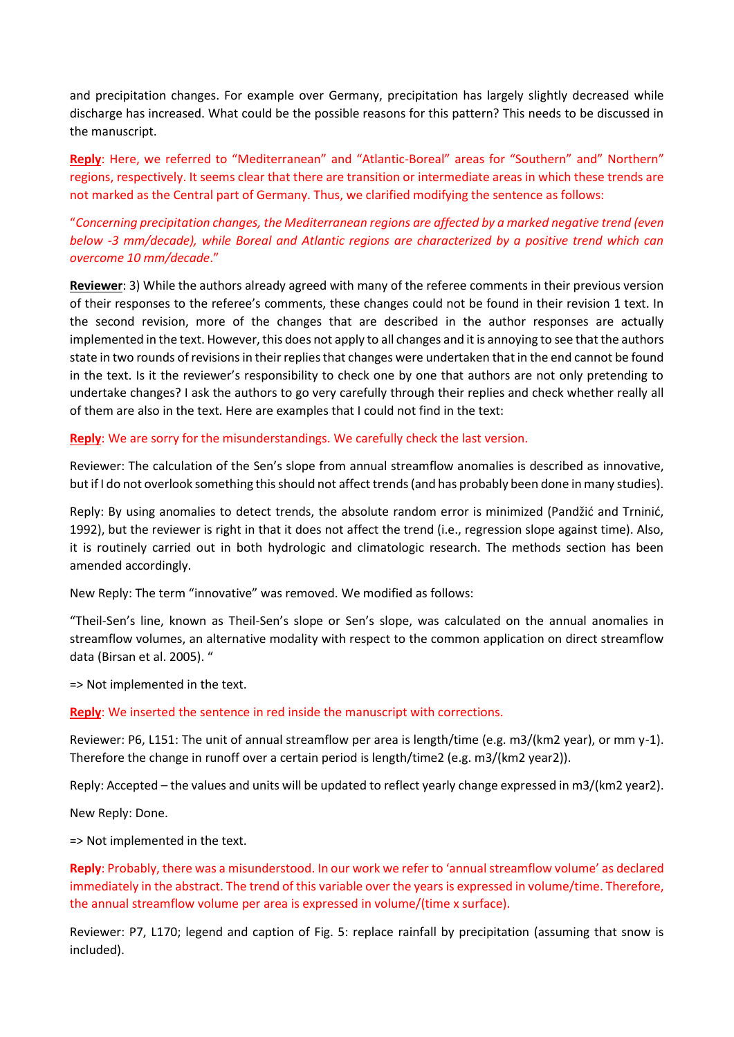and precipitation changes. For example over Germany, precipitation has largely slightly decreased while discharge has increased. What could be the possible reasons for this pattern? This needs to be discussed in the manuscript.

**Reply**: Here, we referred to "Mediterranean" and "Atlantic-Boreal" areas for "Southern" and" Northern" regions, respectively. It seems clear that there are transition or intermediate areas in which these trends are not marked as the Central part of Germany. Thus, we clarified modifying the sentence as follows:

"*Concerning precipitation changes, the Mediterranean regions are affected by a marked negative trend (even below -3 mm/decade), while Boreal and Atlantic regions are characterized by a positive trend which can overcome 10 mm/decade*."

**Reviewer**: 3) While the authors already agreed with many of the referee comments in their previous version of their responses to the referee's comments, these changes could not be found in their revision 1 text. In the second revision, more of the changes that are described in the author responses are actually implemented in the text. However, this does not apply to all changes and it is annoying to see that the authors state in two rounds of revisions in their replies that changes were undertaken that in the end cannot be found in the text. Is it the reviewer's responsibility to check one by one that authors are not only pretending to undertake changes? I ask the authors to go very carefully through their replies and check whether really all of them are also in the text. Here are examples that I could not find in the text:

## **Reply**: We are sorry for the misunderstandings. We carefully check the last version.

Reviewer: The calculation of the Sen's slope from annual streamflow anomalies is described as innovative, but if I do not overlook something this should not affect trends (and has probably been done in many studies).

Reply: By using anomalies to detect trends, the absolute random error is minimized (Pandžić and Trninić, 1992), but the reviewer is right in that it does not affect the trend (i.e., regression slope against time). Also, it is routinely carried out in both hydrologic and climatologic research. The methods section has been amended accordingly.

New Reply: The term "innovative" was removed. We modified as follows:

"Theil-Sen's line, known as Theil-Sen's slope or Sen's slope, was calculated on the annual anomalies in streamflow volumes, an alternative modality with respect to the common application on direct streamflow data (Birsan et al. 2005). "

=> Not implemented in the text.

## **Reply**: We inserted the sentence in red inside the manuscript with corrections.

Reviewer: P6, L151: The unit of annual streamflow per area is length/time (e.g. m3/(km2 year), or mm y-1). Therefore the change in runoff over a certain period is length/time2 (e.g. m3/(km2 year2)).

Reply: Accepted – the values and units will be updated to reflect yearly change expressed in m3/(km2 year2).

New Reply: Done.

=> Not implemented in the text.

**Reply**: Probably, there was a misunderstood. In our work we refer to 'annual streamflow volume' as declared immediately in the abstract. The trend of this variable over the years is expressed in volume/time. Therefore, the annual streamflow volume per area is expressed in volume/(time x surface).

Reviewer: P7, L170; legend and caption of Fig. 5: replace rainfall by precipitation (assuming that snow is included).